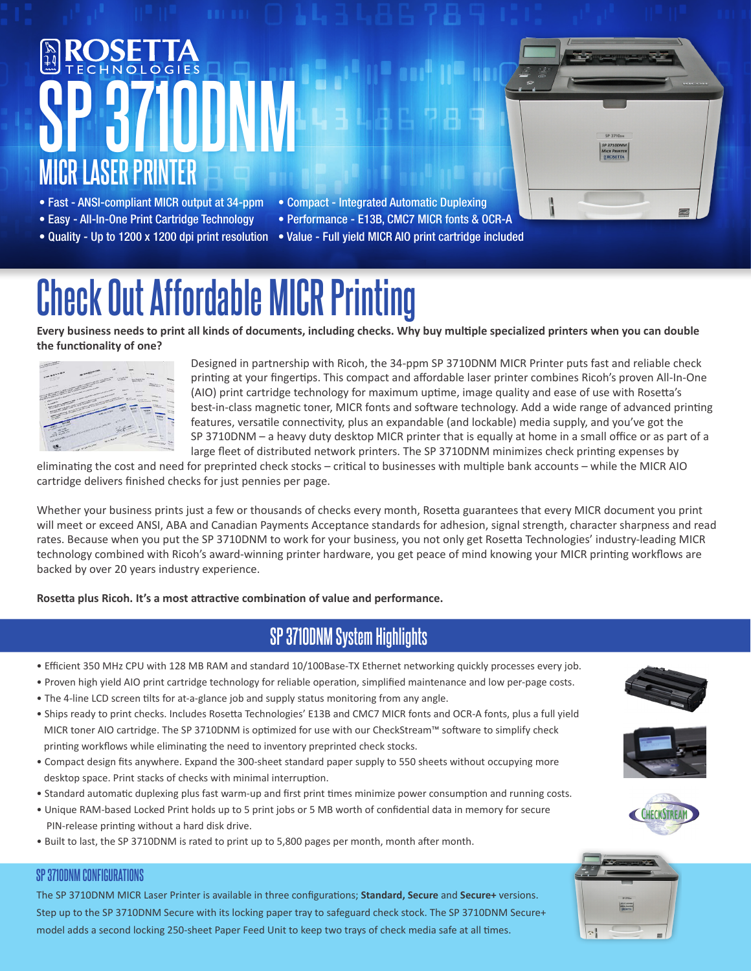# **SP 3710DNM MICR LASER PRINTER**



- Fast ANSI-compliant MICR output at 34-ppm
- Easy All-In-One Print Cartridge Technology
- 
- Compact Integrated Automatic Duplexing
- Performance E13B, CMC7 MICR fonts & OCR-A
- Quality Up to 1200 x 1200 dpi print resolution Value Full yield MICR AIO print cartridge included

# **Check Out Affordable MICR Printing**

**Every business needs to print all kinds of documents, including checks. Why buy multiple specialized printers when you can double the functionality of one?** 

| <b>COLUMN TWO IS NOT THE OWNER.</b>                                                                                                                                                                                                                                                                                                                                                                                                                                                                                                                                                                                                    |                                                                                                                                                                                                                                                                                                                                                                                                                                                                                                                                                                                                                                                                                                                                                                                                                                                                                                                                                                                                                                                                                                                                                                                                 |                                        |                                       | ÷                                         |                |
|----------------------------------------------------------------------------------------------------------------------------------------------------------------------------------------------------------------------------------------------------------------------------------------------------------------------------------------------------------------------------------------------------------------------------------------------------------------------------------------------------------------------------------------------------------------------------------------------------------------------------------------|-------------------------------------------------------------------------------------------------------------------------------------------------------------------------------------------------------------------------------------------------------------------------------------------------------------------------------------------------------------------------------------------------------------------------------------------------------------------------------------------------------------------------------------------------------------------------------------------------------------------------------------------------------------------------------------------------------------------------------------------------------------------------------------------------------------------------------------------------------------------------------------------------------------------------------------------------------------------------------------------------------------------------------------------------------------------------------------------------------------------------------------------------------------------------------------------------|----------------------------------------|---------------------------------------|-------------------------------------------|----------------|
| <b>OWNERSTANDING</b>                                                                                                                                                                                                                                                                                                                                                                                                                                                                                                                                                                                                                   |                                                                                                                                                                                                                                                                                                                                                                                                                                                                                                                                                                                                                                                                                                                                                                                                                                                                                                                                                                                                                                                                                                                                                                                                 |                                        |                                       |                                           |                |
| w                                                                                                                                                                                                                                                                                                                                                                                                                                                                                                                                                                                                                                      | <b>NAMES OF GROOM</b>                                                                                                                                                                                                                                                                                                                                                                                                                                                                                                                                                                                                                                                                                                                                                                                                                                                                                                                                                                                                                                                                                                                                                                           | w<br>٠                                 | <b>MARK</b>                           |                                           |                |
| OF PERSON                                                                                                                                                                                                                                                                                                                                                                                                                                                                                                                                                                                                                              |                                                                                                                                                                                                                                                                                                                                                                                                                                                                                                                                                                                                                                                                                                                                                                                                                                                                                                                                                                                                                                                                                                                                                                                                 |                                        | -                                     | <b>Writing</b>                            |                |
|                                                                                                                                                                                                                                                                                                                                                                                                                                                                                                                                                                                                                                        | <b>CONTRACTOR</b>                                                                                                                                                                                                                                                                                                                                                                                                                                                                                                                                                                                                                                                                                                                                                                                                                                                                                                                                                                                                                                                                                                                                                                               | <b>CONTRACTOR</b><br><b>STATISTICS</b> | and Streets War                       | <b>Millery</b>                            | <b>REGIST</b>  |
|                                                                                                                                                                                                                                                                                                                                                                                                                                                                                                                                                                                                                                        |                                                                                                                                                                                                                                                                                                                                                                                                                                                                                                                                                                                                                                                                                                                                                                                                                                                                                                                                                                                                                                                                                                                                                                                                 |                                        | www.adult                             |                                           |                |
|                                                                                                                                                                                                                                                                                                                                                                                                                                                                                                                                                                                                                                        |                                                                                                                                                                                                                                                                                                                                                                                                                                                                                                                                                                                                                                                                                                                                                                                                                                                                                                                                                                                                                                                                                                                                                                                                 |                                        |                                       | <b>Man Four Fire</b><br><b>STATE LINE</b> | m              |
|                                                                                                                                                                                                                                                                                                                                                                                                                                                                                                                                                                                                                                        |                                                                                                                                                                                                                                                                                                                                                                                                                                                                                                                                                                                                                                                                                                                                                                                                                                                                                                                                                                                                                                                                                                                                                                                                 |                                        | <b>SERVICE</b>                        |                                           | <b>Hours</b>   |
|                                                                                                                                                                                                                                                                                                                                                                                                                                                                                                                                                                                                                                        |                                                                                                                                                                                                                                                                                                                                                                                                                                                                                                                                                                                                                                                                                                                                                                                                                                                                                                                                                                                                                                                                                                                                                                                                 |                                        | <b>SANDA PE</b>                       |                                           | <b>Total</b>   |
| the property of the contract of the contract of the contract of the contract of the contract of the contract of<br>the first party of the company of the company of the company of the company of the company of the company of the company of the company of the company of the company of the company of the company of the company of the comp<br>the first party of the company of the company of the company of the company of the company of the company of the company of the company of the company of the company of the company of the company of the company of the comp<br>the manufacturing the company of the company of | $\label{eq:2.1} \frac{1}{\sqrt{2\pi\left(\frac{1}{\sqrt{2\pi\left(1-\frac{1}{\sqrt{2\pi\left(1-\frac{1}{\sqrt{2\pi\left(1-\frac{1}{\sqrt{2\pi\left(1-\frac{1}{\sqrt{2\pi\left(1-\frac{1}{\sqrt{2\pi\left(1-\frac{1}{\sqrt{2\pi\left(1-\frac{1}{\sqrt{2\pi\left(1-\frac{1}{\sqrt{2\pi\left(1-\frac{1}{\sqrt{2\pi\left(1-\frac{1}{\sqrt{2\pi\left(1-\frac{1}{\sqrt{2\pi\left(1-\frac{1}{\sqrt{2\pi\left(1-\frac{$<br>the party of the contract of the second state of the contract of the contract of the contract of the contract of<br><b>Contract of the American State of the American State of the American State of the American State of the American State of the American State of the American State of the American State of the American State of the America</b><br>$\frac{1}{\left\ x\right\ _{\mathcal{H}^{\frac{1}{2}}}^{\frac{1}{2}}\left\ x\right\ _{\mathcal{H}^{\frac{1}{2}}}^{\frac{1}{2}}\left\ x\right\ _{\mathcal{H}^{\frac{1}{2}}}^{\frac{1}{2}}\left\ x\right\ _{\mathcal{H}^{\frac{1}{2}}}^{\frac{1}{2}}\left\ x\right\ _{\mathcal{H}^{\frac{1}{2}}}^{\frac{1}{2}}\left\ x\right\ _{\mathcal{H}^{\frac{1}{2}}}^{\frac{1}{2}}\left\ x\right\ _{\mathcal{H}^{\frac{1}{2$ |                                        | w<br><b>Service</b>                   | <b><i><u>CONSTRUCTION</u></i></b>         |                |
| $\label{eq:2.1} \frac{1}{\left(\sum_{i=1}^n\sum_{j=1}^n\sum_{j=1}^n\sum_{j=1}^n\sum_{j=1}^n\sum_{j=1}^n\sum_{j=1}^n\sum_{j=1}^n\sum_{j=1}^n\sum_{j=1}^n\sum_{j=1}^n\sum_{j=1}^n\sum_{j=1}^n\sum_{j=1}^n\sum_{j=1}^n\sum_{j=1}^n\sum_{j=1}^n\sum_{j=1}^n\sum_{j=1}^n\sum_{j=1}^n\sum_{j=1}^n\sum_{j=1}^n\sum_{j=1$                                                                                                                                                                                                                                                                                                                      |                                                                                                                                                                                                                                                                                                                                                                                                                                                                                                                                                                                                                                                                                                                                                                                                                                                                                                                                                                                                                                                                                                                                                                                                 |                                        | <b>Lacient</b><br><b>WHY IS NOTES</b> | an look said<br><b>HALL</b>               |                |
| the party of the fact of the con-                                                                                                                                                                                                                                                                                                                                                                                                                                                                                                                                                                                                      |                                                                                                                                                                                                                                                                                                                                                                                                                                                                                                                                                                                                                                                                                                                                                                                                                                                                                                                                                                                                                                                                                                                                                                                                 |                                        |                                       | <b>MIGRAPH STORE</b>                      | <b>Since</b>   |
| ٠                                                                                                                                                                                                                                                                                                                                                                                                                                                                                                                                                                                                                                      | the property of the control of the control of                                                                                                                                                                                                                                                                                                                                                                                                                                                                                                                                                                                                                                                                                                                                                                                                                                                                                                                                                                                                                                                                                                                                                   |                                        |                                       | <b>Virtuose</b><br>of Atlanta della       | <b>Since</b>   |
|                                                                                                                                                                                                                                                                                                                                                                                                                                                                                                                                                                                                                                        |                                                                                                                                                                                                                                                                                                                                                                                                                                                                                                                                                                                                                                                                                                                                                                                                                                                                                                                                                                                                                                                                                                                                                                                                 |                                        |                                       | <b><i><u>AMERIA</u></i></b>               | <b>Silvers</b> |
|                                                                                                                                                                                                                                                                                                                                                                                                                                                                                                                                                                                                                                        |                                                                                                                                                                                                                                                                                                                                                                                                                                                                                                                                                                                                                                                                                                                                                                                                                                                                                                                                                                                                                                                                                                                                                                                                 |                                        |                                       | <b>CONTRACTOR</b><br>--                   | n.             |
| <b>College College</b>                                                                                                                                                                                                                                                                                                                                                                                                                                                                                                                                                                                                                 |                                                                                                                                                                                                                                                                                                                                                                                                                                                                                                                                                                                                                                                                                                                                                                                                                                                                                                                                                                                                                                                                                                                                                                                                 |                                        |                                       |                                           |                |
|                                                                                                                                                                                                                                                                                                                                                                                                                                                                                                                                                                                                                                        |                                                                                                                                                                                                                                                                                                                                                                                                                                                                                                                                                                                                                                                                                                                                                                                                                                                                                                                                                                                                                                                                                                                                                                                                 | <b>HALLER</b>                          |                                       | m<br>œ                                    |                |
|                                                                                                                                                                                                                                                                                                                                                                                                                                                                                                                                                                                                                                        |                                                                                                                                                                                                                                                                                                                                                                                                                                                                                                                                                                                                                                                                                                                                                                                                                                                                                                                                                                                                                                                                                                                                                                                                 | ٠                                      |                                       | n                                         | c              |
|                                                                                                                                                                                                                                                                                                                                                                                                                                                                                                                                                                                                                                        | NAMES OF TAXABLE PARTIES.                                                                                                                                                                                                                                                                                                                                                                                                                                                                                                                                                                                                                                                                                                                                                                                                                                                                                                                                                                                                                                                                                                                                                                       |                                        | <b>START</b>                          |                                           |                |
|                                                                                                                                                                                                                                                                                                                                                                                                                                                                                                                                                                                                                                        |                                                                                                                                                                                                                                                                                                                                                                                                                                                                                                                                                                                                                                                                                                                                                                                                                                                                                                                                                                                                                                                                                                                                                                                                 |                                        |                                       | w<br>$-$<br><b>COLOR</b>                  |                |
|                                                                                                                                                                                                                                                                                                                                                                                                                                                                                                                                                                                                                                        |                                                                                                                                                                                                                                                                                                                                                                                                                                                                                                                                                                                                                                                                                                                                                                                                                                                                                                                                                                                                                                                                                                                                                                                                 |                                        | <b>FASHIONES</b>                      | <b>CONTRACTOR</b>                         |                |
|                                                                                                                                                                                                                                                                                                                                                                                                                                                                                                                                                                                                                                        |                                                                                                                                                                                                                                                                                                                                                                                                                                                                                                                                                                                                                                                                                                                                                                                                                                                                                                                                                                                                                                                                                                                                                                                                 |                                        |                                       | <b>Jaimed</b><br>÷<br>$-1$                |                |
|                                                                                                                                                                                                                                                                                                                                                                                                                                                                                                                                                                                                                                        |                                                                                                                                                                                                                                                                                                                                                                                                                                                                                                                                                                                                                                                                                                                                                                                                                                                                                                                                                                                                                                                                                                                                                                                                 | <b>SERIASP</b>                         |                                       |                                           |                |
|                                                                                                                                                                                                                                                                                                                                                                                                                                                                                                                                                                                                                                        |                                                                                                                                                                                                                                                                                                                                                                                                                                                                                                                                                                                                                                                                                                                                                                                                                                                                                                                                                                                                                                                                                                                                                                                                 |                                        |                                       | <b>Himmed Hotel</b>                       |                |
|                                                                                                                                                                                                                                                                                                                                                                                                                                                                                                                                                                                                                                        | <b>CONTRACTOR</b>                                                                                                                                                                                                                                                                                                                                                                                                                                                                                                                                                                                                                                                                                                                                                                                                                                                                                                                                                                                                                                                                                                                                                                               |                                        |                                       |                                           | <b>COLLEGE</b> |
|                                                                                                                                                                                                                                                                                                                                                                                                                                                                                                                                                                                                                                        |                                                                                                                                                                                                                                                                                                                                                                                                                                                                                                                                                                                                                                                                                                                                                                                                                                                                                                                                                                                                                                                                                                                                                                                                 |                                        |                                       |                                           |                |

Designed in partnership with Ricoh, the 34-ppm SP 3710DNM MICR Printer puts fast and reliable check printing at your fingertips. This compact and affordable laser printer combines Ricoh's proven All-In-One (AIO) print cartridge technology for maximum uptime, image quality and ease of use with Rosetta's best-in-class magnetic toner, MICR fonts and software technology. Add a wide range of advanced printing features, versatile connectivity, plus an expandable (and lockable) media supply, and you've got the SP 3710DNM – a heavy duty desktop MICR printer that is equally at home in a small office or as part of a large fleet of distributed network printers. The SP 3710DNM minimizes check printing expenses by

eliminating the cost and need for preprinted check stocks – critical to businesses with multiple bank accounts – while the MICR AIO cartridge delivers finished checks for just pennies per page.

Whether your business prints just a few or thousands of checks every month, Rosetta guarantees that every MICR document you print will meet or exceed ANSI, ABA and Canadian Payments Acceptance standards for adhesion, signal strength, character sharpness and read rates. Because when you put the SP 3710DNM to work for your business, you not only get Rosetta Technologies' industry-leading MICR technology combined with Ricoh's award-winning printer hardware, you get peace of mind knowing your MICR printing workflows are backed by over 20 years industry experience.

**Rosetta plus Ricoh. It's a most attractive combination of value and performance.**

### **SP 3710DNM System Highlights**

- Efficient 350 MHz CPU with 128 MB RAM and standard 10/100Base-TX Ethernet networking quickly processes every job.
- Proven high yield AIO print cartridge technology for reliable operation, simplified maintenance and low per-page costs.
- The 4-line LCD screen tilts for at-a-glance job and supply status monitoring from any angle.
- Ships ready to print checks. Includes Rosetta Technologies' E13B and CMC7 MICR fonts and OCR-A fonts, plus a full yield MICR toner AIO cartridge. The SP 3710DNM is optimized for use with our CheckStream™ software to simplify check printing workflows while eliminating the need to inventory preprinted check stocks.
- Compact design fits anywhere. Expand the 300-sheet standard paper supply to 550 sheets without occupying more desktop space. Print stacks of checks with minimal interruption.
- Standard automatic duplexing plus fast warm-up and first print times minimize power consumption and running costs.
- Unique RAM-based Locked Print holds up to 5 print jobs or 5 MB worth of confidential data in memory for secure PIN-release printing without a hard disk drive.
- Built to last, the SP 3710DNM is rated to print up to 5,800 pages per month, month after month.

#### **SP 3710DNM CONFIGURATIONS**

The SP 3710DNM MICR Laser Printer is available in three configurations; **Standard, Secure** and **Secure+** versions. Step up to the SP 3710DNM Secure with its locking paper tray to safeguard check stock. The SP 3710DNM Secure+ model adds a second locking 250-sheet Paper Feed Unit to keep two trays of check media safe at all times.